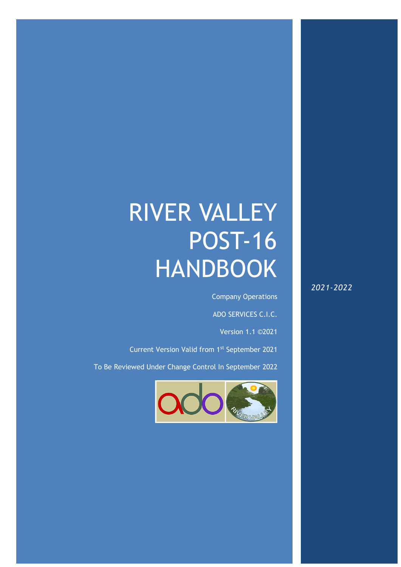# RIVER VALLEY POST-16 HANDBOOK

River Valley Post-16 Handbook – V1.1 ADO12651

Company Operations

ADO SERVICES C.I.C.

Version 1.1 ©2021

Current Version Valid from 1st September 2021

To Be Reviewed Under Change Control In September 2022



*2021-2022*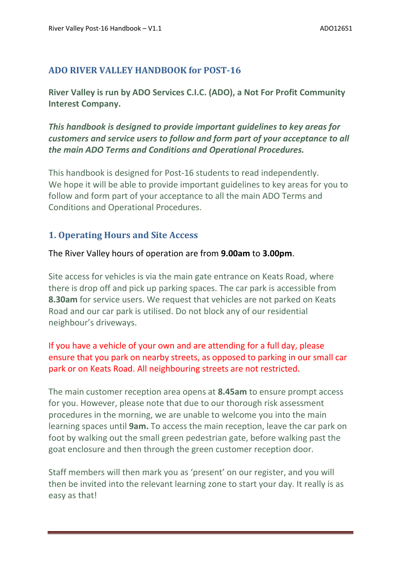# **ADO RIVER VALLEY HANDBOOK for POST-16**

**River Valley is run by ADO Services C.I.C. (ADO), a Not For Profit Community Interest Company.**

*This handbook is designed to provide important guidelines to key areas for customers and service users to follow and form part of your acceptance to all the main ADO Terms and Conditions and Operational Procedures.* 

This handbook is designed for Post-16 students to read independently. We hope it will be able to provide important guidelines to key areas for you to follow and form part of your acceptance to all the main ADO Terms and Conditions and Operational Procedures.

# **1. Operating Hours and Site Access**

The River Valley hours of operation are from **9.00am** to **3.00pm**.

Site access for vehicles is via the main gate entrance on Keats Road, where there is drop off and pick up parking spaces. The car park is accessible from **8.30am** for service users. We request that vehicles are not parked on Keats Road and our car park is utilised. Do not block any of our residential neighbour's driveways.

# If you have a vehicle of your own and are attending for a full day, please ensure that you park on nearby streets, as opposed to parking in our small car park or on Keats Road. All neighbouring streets are not restricted.

The main customer reception area opens at **8.45am** to ensure prompt access for you. However, please note that due to our thorough risk assessment procedures in the morning, we are unable to welcome you into the main learning spaces until **9am.** To access the main reception, leave the car park on foot by walking out the small green pedestrian gate, before walking past the goat enclosure and then through the green customer reception door.

Staff members will then mark you as 'present' on our register, and you will then be invited into the relevant learning zone to start your day. It really is as easy as that!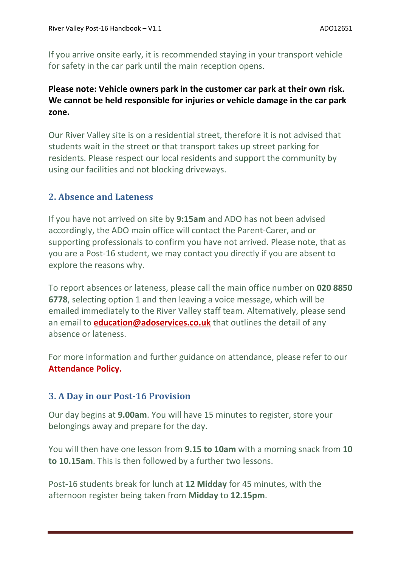If you arrive onsite early, it is recommended staying in your transport vehicle for safety in the car park until the main reception opens.

# **Please note: Vehicle owners park in the customer car park at their own risk. We cannot be held responsible for injuries or vehicle damage in the car park zone.**

Our River Valley site is on a residential street, therefore it is not advised that students wait in the street or that transport takes up street parking for residents. Please respect our local residents and support the community by using our facilities and not blocking driveways.

## **2. Absence and Lateness**

If you have not arrived on site by **9:15am** and ADO has not been advised accordingly, the ADO main office will contact the Parent-Carer, and or supporting professionals to confirm you have not arrived. Please note, that as you are a Post-16 student, we may contact you directly if you are absent to explore the reasons why.

To report absences or lateness, please call the main office number on **020 8850 6778**, selecting option 1 and then leaving a voice message, which will be emailed immediately to the River Valley staff team. Alternatively, please send an email to **[education@adoservices.co.uk](mailto:education@adoservices.co.uk)** that outlines the detail of any absence or lateness.

For more information and further guidance on attendance, please refer to our **Attendance Policy.**

## **3. A Day in our Post-16 Provision**

Our day begins at **9.00am**. You will have 15 minutes to register, store your belongings away and prepare for the day.

You will then have one lesson from **9.15 to 10am** with a morning snack from **10 to 10.15am**. This is then followed by a further two lessons.

Post-16 students break for lunch at **12 Midday** for 45 minutes, with the afternoon register being taken from **Midday** to **12.15pm**.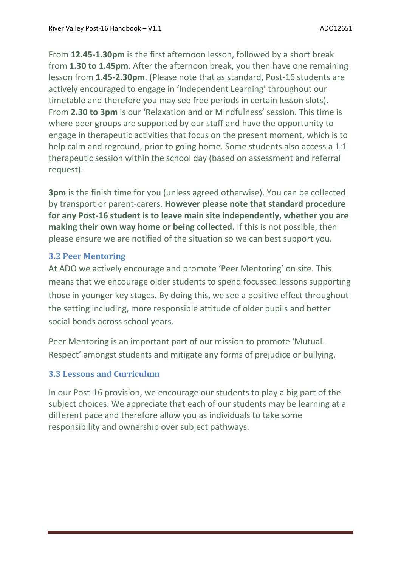From **12.45-1.30pm** is the first afternoon lesson, followed by a short break from **1.30 to 1.45pm**. After the afternoon break, you then have one remaining lesson from **1.45-2.30pm**. (Please note that as standard, Post-16 students are actively encouraged to engage in 'Independent Learning' throughout our timetable and therefore you may see free periods in certain lesson slots). From **2.30 to 3pm** is our 'Relaxation and or Mindfulness' session. This time is where peer groups are supported by our staff and have the opportunity to engage in therapeutic activities that focus on the present moment, which is to help calm and reground, prior to going home. Some students also access a 1:1 therapeutic session within the school day (based on assessment and referral request).

**3pm** is the finish time for you (unless agreed otherwise). You can be collected by transport or parent-carers. **However please note that standard procedure for any Post-16 student is to leave main site independently, whether you are making their own way home or being collected.** If this is not possible, then please ensure we are notified of the situation so we can best support you.

## **3.2 Peer Mentoring**

At ADO we actively encourage and promote 'Peer Mentoring' on site. This means that we encourage older students to spend focussed lessons supporting those in younger key stages. By doing this, we see a positive effect throughout the setting including, more responsible attitude of older pupils and better social bonds across school years.

Peer Mentoring is an important part of our mission to promote 'Mutual-Respect' amongst students and mitigate any forms of prejudice or bullying.

## **3.3 Lessons and Curriculum**

In our Post-16 provision, we encourage our students to play a big part of the subject choices. We appreciate that each of our students may be learning at a different pace and therefore allow you as individuals to take some responsibility and ownership over subject pathways.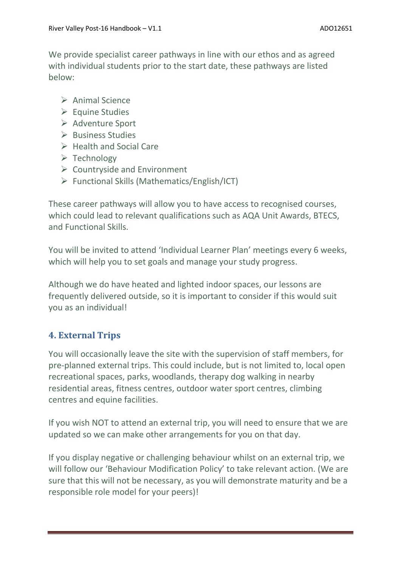We provide specialist career pathways in line with our ethos and as agreed with individual students prior to the start date, these pathways are listed below:

- ➢ Animal Science
- ➢ Equine Studies
- ➢ Adventure Sport
- ➢ Business Studies
- ➢ Health and Social Care
- ➢ Technology
- $\triangleright$  Countryside and Environment
- ➢ Functional Skills (Mathematics/English/ICT)

These career pathways will allow you to have access to recognised courses, which could lead to relevant qualifications such as AQA Unit Awards, BTECS, and Functional Skills.

You will be invited to attend 'Individual Learner Plan' meetings every 6 weeks, which will help you to set goals and manage your study progress.

Although we do have heated and lighted indoor spaces, our lessons are frequently delivered outside, so it is important to consider if this would suit you as an individual!

# **4. External Trips**

You will occasionally leave the site with the supervision of staff members, for pre-planned external trips. This could include, but is not limited to, local open recreational spaces, parks, woodlands, therapy dog walking in nearby residential areas, fitness centres, outdoor water sport centres, climbing centres and equine facilities.

If you wish NOT to attend an external trip, you will need to ensure that we are updated so we can make other arrangements for you on that day.

If you display negative or challenging behaviour whilst on an external trip, we will follow our 'Behaviour Modification Policy' to take relevant action. (We are sure that this will not be necessary, as you will demonstrate maturity and be a responsible role model for your peers)!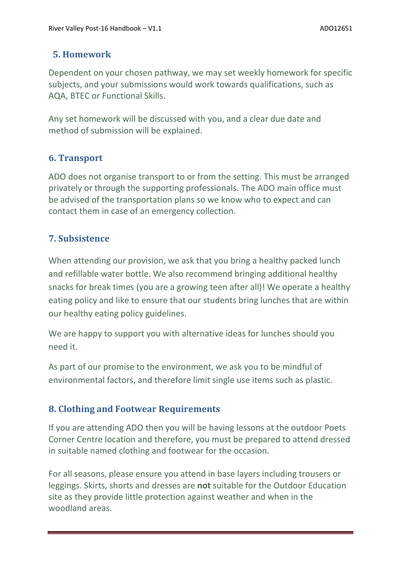## **5. Homework**

Dependent on your chosen pathway, we may set weekly homework for specific subjects, and your submissions would work towards qualifications, such as AQA, BTEC or Functional Skills.

Any set homework will be discussed with you, and a clear due date and method of submission will be explained.

# **6. Transport**

ADO does not organise transport to or from the setting. This must be arranged privately or through the supporting professionals. The ADO main office must be advised of the transportation plans so we know who to expect and can contact them in case of an emergency collection.

# **7. Subsistence**

When attending our provision, we ask that you bring a healthy packed lunch and refillable water bottle. We also recommend bringing additional healthy snacks for break times (you are a growing teen after all)! We operate a healthy eating policy and like to ensure that our students bring lunches that are within our healthy eating policy guidelines.

We are happy to support you with alternative ideas for lunches should you need it.

As part of our promise to the environment, we ask you to be mindful of environmental factors, and therefore limit single use items such as plastic.

# **8. Clothing and Footwear Requirements**

If you are attending ADO then you will be having lessons at the outdoor Poets Corner Centre location and therefore, you must be prepared to attend dressed in suitable named clothing and footwear for the occasion.

For all seasons, please ensure you attend in base layers including trousers or leggings. Skirts, shorts and dresses are **not** suitable for the Outdoor Education site as they provide little protection against weather and when in the woodland areas.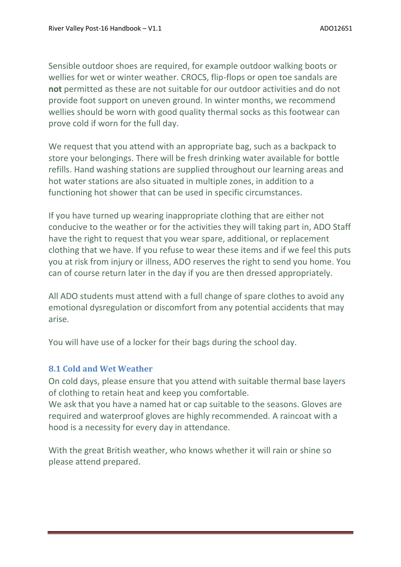Sensible outdoor shoes are required, for example outdoor walking boots or wellies for wet or winter weather. CROCS, flip-flops or open toe sandals are **not** permitted as these are not suitable for our outdoor activities and do not provide foot support on uneven ground. In winter months, we recommend wellies should be worn with good quality thermal socks as this footwear can prove cold if worn for the full day.

We request that you attend with an appropriate bag, such as a backpack to store your belongings. There will be fresh drinking water available for bottle refills. Hand washing stations are supplied throughout our learning areas and hot water stations are also situated in multiple zones, in addition to a functioning hot shower that can be used in specific circumstances.

If you have turned up wearing inappropriate clothing that are either not conducive to the weather or for the activities they will taking part in, ADO Staff have the right to request that you wear spare, additional, or replacement clothing that we have. If you refuse to wear these items and if we feel this puts you at risk from injury or illness, ADO reserves the right to send you home. You can of course return later in the day if you are then dressed appropriately.

All ADO students must attend with a full change of spare clothes to avoid any emotional dysregulation or discomfort from any potential accidents that may arise.

You will have use of a locker for their bags during the school day.

#### **8.1 Cold and Wet Weather**

On cold days, please ensure that you attend with suitable thermal base layers of clothing to retain heat and keep you comfortable.

We ask that you have a named hat or cap suitable to the seasons. Gloves are required and waterproof gloves are highly recommended. A raincoat with a hood is a necessity for every day in attendance.

With the great British weather, who knows whether it will rain or shine so please attend prepared.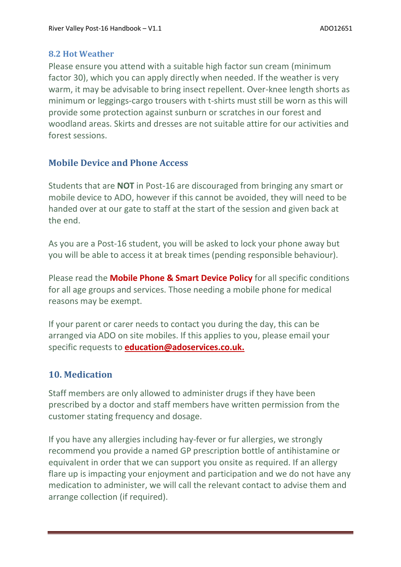#### **8.2 Hot Weather**

Please ensure you attend with a suitable high factor sun cream (minimum factor 30), which you can apply directly when needed. If the weather is very warm, it may be advisable to bring insect repellent. Over-knee length shorts as minimum or leggings-cargo trousers with t-shirts must still be worn as this will provide some protection against sunburn or scratches in our forest and woodland areas. Skirts and dresses are not suitable attire for our activities and forest sessions.

# **Mobile Device and Phone Access**

Students that are **NOT** in Post-16 are discouraged from bringing any smart or mobile device to ADO, however if this cannot be avoided, they will need to be handed over at our gate to staff at the start of the session and given back at the end.

As you are a Post-16 student, you will be asked to lock your phone away but you will be able to access it at break times (pending responsible behaviour).

Please read the **Mobile Phone & Smart Device Policy** for all specific conditions for all age groups and services. Those needing a mobile phone for medical reasons may be exempt.

If your parent or carer needs to contact you during the day, this can be arranged via ADO on site mobiles. If this applies to you, please email your specific requests to **[education@adoservices.co.uk.](mailto:education@adoservices.co.uk)**

# **10. Medication**

Staff members are only allowed to administer drugs if they have been prescribed by a doctor and staff members have written permission from the customer stating frequency and dosage.

If you have any allergies including hay-fever or fur allergies, we strongly recommend you provide a named GP prescription bottle of antihistamine or equivalent in order that we can support you onsite as required. If an allergy flare up is impacting your enjoyment and participation and we do not have any medication to administer, we will call the relevant contact to advise them and arrange collection (if required).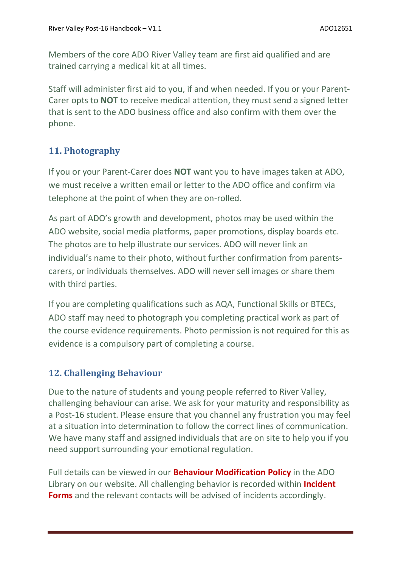Members of the core ADO River Valley team are first aid qualified and are trained carrying a medical kit at all times.

Staff will administer first aid to you, if and when needed. If you or your Parent-Carer opts to **NOT** to receive medical attention, they must send a signed letter that is sent to the ADO business office and also confirm with them over the phone.

# **11. Photography**

If you or your Parent-Carer does **NOT** want you to have images taken at ADO, we must receive a written email or letter to the ADO office and confirm via telephone at the point of when they are on-rolled.

As part of ADO's growth and development, photos may be used within the ADO website, social media platforms, paper promotions, display boards etc. The photos are to help illustrate our services. ADO will never link an individual's name to their photo, without further confirmation from parentscarers, or individuals themselves. ADO will never sell images or share them with third parties.

If you are completing qualifications such as AQA, Functional Skills or BTECs, ADO staff may need to photograph you completing practical work as part of the course evidence requirements. Photo permission is not required for this as evidence is a compulsory part of completing a course.

# **12. Challenging Behaviour**

Due to the nature of students and young people referred to River Valley, challenging behaviour can arise. We ask for your maturity and responsibility as a Post-16 student. Please ensure that you channel any frustration you may feel at a situation into determination to follow the correct lines of communication. We have many staff and assigned individuals that are on site to help you if you need support surrounding your emotional regulation.

Full details can be viewed in our **Behaviour Modification Policy** in the ADO Library on our website. All challenging behavior is recorded within **Incident Forms** and the relevant contacts will be advised of incidents accordingly.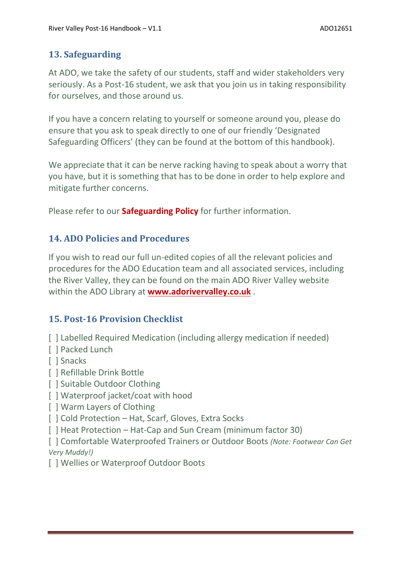# **13. Safeguarding**

At ADO, we take the safety of our students, staff and wider stakeholders very seriously. As a Post-16 student, we ask that you join us in taking responsibility for ourselves, and those around us.

If you have a concern relating to yourself or someone around you, please do ensure that you ask to speak directly to one of our friendly 'Designated Safeguarding Officers' (they can be found at the bottom of this handbook).

We appreciate that it can be nerve racking having to speak about a worry that you have, but it is something that has to be done in order to help explore and mitigate further concerns.

Please refer to our **Safeguarding Policy** for further information.

# **14. ADO Policies and Procedures**

If you wish to read our full un-edited copies of all the relevant policies and procedures for the ADO Education team and all associated services, including the River Valley, they can be found on the main ADO River Valley website within the ADO Library at **[www.adorivervalley.co.uk](http://www.adorivervalley.co.uk/)** .

# **15. Post-16 Provision Checklist**

- [ ] Labelled Required Medication (including allergy medication if needed)
- [ ] Packed Lunch
- [ ] Snacks
- [ ] Refillable Drink Bottle
- [ ] Suitable Outdoor Clothing
- [] Waterproof jacket/coat with hood
- [ ] Warm Layers of Clothing
- [  $|$  Cold Protection Hat, Scarf, Gloves, Extra Socks
- [ ] Heat Protection Hat-Cap and Sun Cream (minimum factor 30)

[ ] Comfortable Waterproofed Trainers or Outdoor Boots *(Note: Footwear Can Get Very Muddy!)*

[ ] Wellies or Waterproof Outdoor Boots